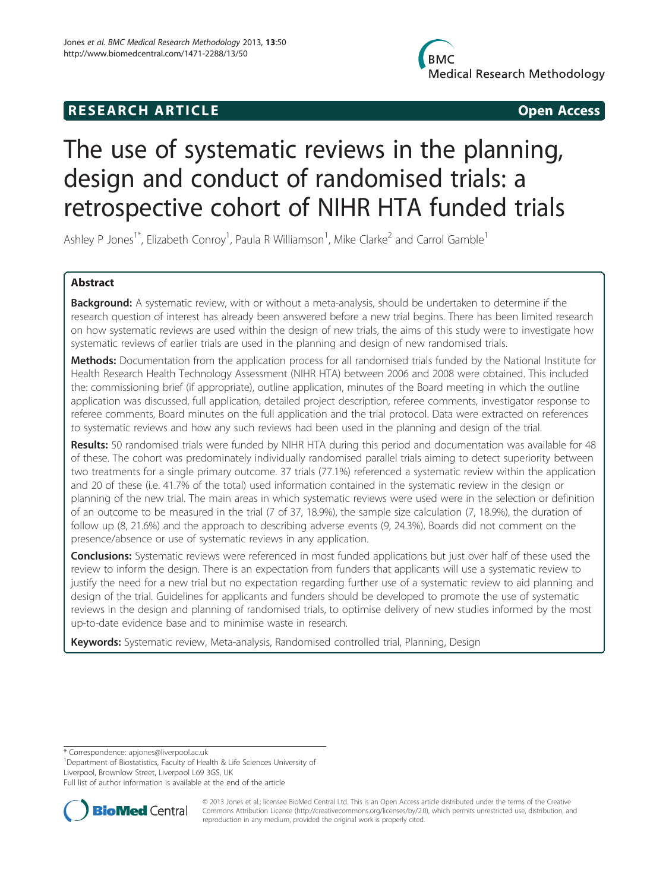# **RESEARCH ARTICLE Example 2014 CONSIDERING CONSIDERING CONSIDERING CONSIDERING CONSIDERING CONSIDERING CONSIDERING CONSIDERING CONSIDERING CONSIDERING CONSIDERING CONSIDERING CONSIDERING CONSIDERING CONSIDERING CONSIDE**

# The use of systematic reviews in the planning, design and conduct of randomised trials: a retrospective cohort of NIHR HTA funded trials

Ashley P Jones<sup>1\*</sup>, Elizabeth Conroy<sup>1</sup>, Paula R Williamson<sup>1</sup>, Mike Clarke<sup>2</sup> and Carrol Gamble<sup>1</sup>

# Abstract

Background: A systematic review, with or without a meta-analysis, should be undertaken to determine if the research question of interest has already been answered before a new trial begins. There has been limited research on how systematic reviews are used within the design of new trials, the aims of this study were to investigate how systematic reviews of earlier trials are used in the planning and design of new randomised trials.

Methods: Documentation from the application process for all randomised trials funded by the National Institute for Health Research Health Technology Assessment (NIHR HTA) between 2006 and 2008 were obtained. This included the: commissioning brief (if appropriate), outline application, minutes of the Board meeting in which the outline application was discussed, full application, detailed project description, referee comments, investigator response to referee comments, Board minutes on the full application and the trial protocol. Data were extracted on references to systematic reviews and how any such reviews had been used in the planning and design of the trial.

Results: 50 randomised trials were funded by NIHR HTA during this period and documentation was available for 48 of these. The cohort was predominately individually randomised parallel trials aiming to detect superiority between two treatments for a single primary outcome. 37 trials (77.1%) referenced a systematic review within the application and 20 of these (i.e. 41.7% of the total) used information contained in the systematic review in the design or planning of the new trial. The main areas in which systematic reviews were used were in the selection or definition of an outcome to be measured in the trial (7 of 37, 18.9%), the sample size calculation (7, 18.9%), the duration of follow up (8, 21.6%) and the approach to describing adverse events (9, 24.3%). Boards did not comment on the presence/absence or use of systematic reviews in any application.

Conclusions: Systematic reviews were referenced in most funded applications but just over half of these used the review to inform the design. There is an expectation from funders that applicants will use a systematic review to justify the need for a new trial but no expectation regarding further use of a systematic review to aid planning and design of the trial. Guidelines for applicants and funders should be developed to promote the use of systematic reviews in the design and planning of randomised trials, to optimise delivery of new studies informed by the most up-to-date evidence base and to minimise waste in research.

Keywords: Systematic review, Meta-analysis, Randomised controlled trial, Planning, Design

\* Correspondence: [apjones@liverpool.ac.uk](mailto:apjones@liverpool.ac.uk) <sup>1</sup>

<sup>1</sup>Department of Biostatistics, Faculty of Health & Life Sciences University of Liverpool, Brownlow Street, Liverpool L69 3GS, UK

Full list of author information is available at the end of the article



© 2013 Jones et al.; licensee BioMed Central Ltd. This is an Open Access article distributed under the terms of the Creative Commons Attribution License [\(http://creativecommons.org/licenses/by/2.0\)](http://creativecommons.org/licenses/by/2.0), which permits unrestricted use, distribution, and reproduction in any medium, provided the original work is properly cited.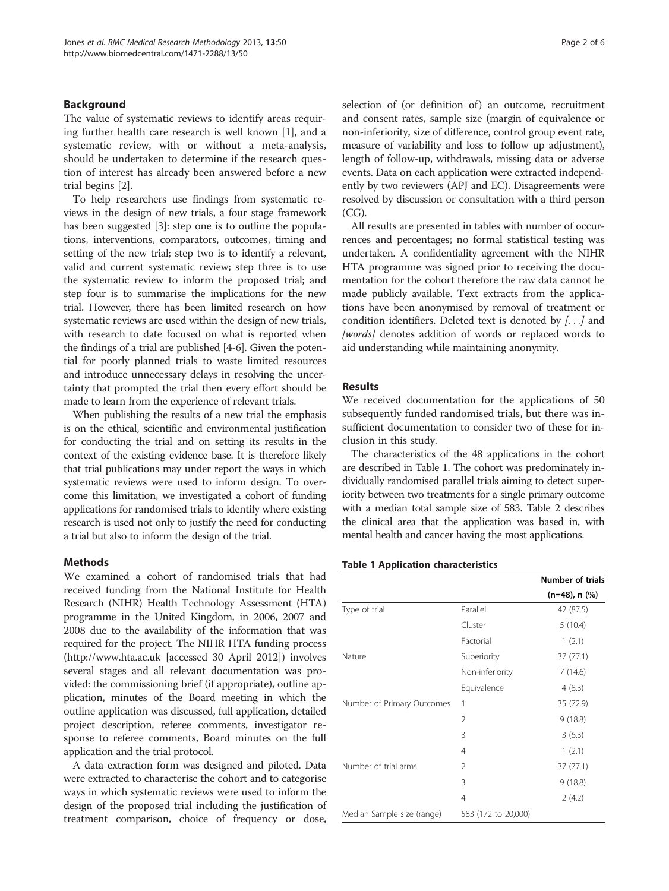# Background

The value of systematic reviews to identify areas requiring further health care research is well known [\[1](#page-5-0)], and a systematic review, with or without a meta-analysis, should be undertaken to determine if the research question of interest has already been answered before a new trial begins [\[2\]](#page-5-0).

To help researchers use findings from systematic reviews in the design of new trials, a four stage framework has been suggested [[3\]](#page-5-0): step one is to outline the populations, interventions, comparators, outcomes, timing and setting of the new trial; step two is to identify a relevant, valid and current systematic review; step three is to use the systematic review to inform the proposed trial; and step four is to summarise the implications for the new trial. However, there has been limited research on how systematic reviews are used within the design of new trials, with research to date focused on what is reported when the findings of a trial are published [[4-6\]](#page-5-0). Given the potential for poorly planned trials to waste limited resources and introduce unnecessary delays in resolving the uncertainty that prompted the trial then every effort should be made to learn from the experience of relevant trials.

When publishing the results of a new trial the emphasis is on the ethical, scientific and environmental justification for conducting the trial and on setting its results in the context of the existing evidence base. It is therefore likely that trial publications may under report the ways in which systematic reviews were used to inform design. To overcome this limitation, we investigated a cohort of funding applications for randomised trials to identify where existing research is used not only to justify the need for conducting a trial but also to inform the design of the trial.

### **Mathods**

We examined a cohort of randomised trials that had received funding from the National Institute for Health Research (NIHR) Health Technology Assessment (HTA) programme in the United Kingdom, in 2006, 2007 and 2008 due to the availability of the information that was required for the project. The NIHR HTA funding process (<http://www.hta.ac.uk> [accessed 30 April 2012]) involves several stages and all relevant documentation was provided: the commissioning brief (if appropriate), outline application, minutes of the Board meeting in which the outline application was discussed, full application, detailed project description, referee comments, investigator response to referee comments, Board minutes on the full application and the trial protocol.

A data extraction form was designed and piloted. Data were extracted to characterise the cohort and to categorise ways in which systematic reviews were used to inform the design of the proposed trial including the justification of treatment comparison, choice of frequency or dose, selection of (or definition of) an outcome, recruitment and consent rates, sample size (margin of equivalence or non-inferiority, size of difference, control group event rate, measure of variability and loss to follow up adjustment), length of follow-up, withdrawals, missing data or adverse events. Data on each application were extracted independently by two reviewers (APJ and EC). Disagreements were resolved by discussion or consultation with a third person (CG).

All results are presented in tables with number of occurrences and percentages; no formal statistical testing was undertaken. A confidentiality agreement with the NIHR HTA programme was signed prior to receiving the documentation for the cohort therefore the raw data cannot be made publicly available. Text extracts from the applications have been anonymised by removal of treatment or condition identifiers. Deleted text is denoted by [...] and [words] denotes addition of words or replaced words to aid understanding while maintaining anonymity.

### Results

We received documentation for the applications of 50 subsequently funded randomised trials, but there was insufficient documentation to consider two of these for inclusion in this study.

The characteristics of the 48 applications in the cohort are described in Table 1. The cohort was predominately individually randomised parallel trials aiming to detect superiority between two treatments for a single primary outcome with a median total sample size of 583. Table [2](#page-2-0) describes the clinical area that the application was based in, with mental health and cancer having the most applications.

#### Table 1 Application characteristics

|                            |                     | <b>Number of trials</b> |
|----------------------------|---------------------|-------------------------|
|                            |                     | $(n=48)$ , n $(%)$      |
| Type of trial              | Parallel            | 42 (87.5)               |
|                            | Cluster             | 5(10.4)                 |
|                            | Factorial           | 1(2.1)                  |
| Nature                     | Superiority         | 37 (77.1)               |
|                            | Non-inferiority     | 7(14.6)                 |
|                            | Equivalence         | 4(8.3)                  |
| Number of Primary Outcomes | 1                   | 35 (72.9)               |
|                            | $\mathfrak{D}$      | 9(18.8)                 |
|                            | 3                   | 3(6.3)                  |
|                            | $\overline{4}$      | 1(2.1)                  |
| Number of trial arms       | $\overline{2}$      | 37 (77.1)               |
|                            | 3                   | 9(18.8)                 |
|                            | $\overline{4}$      | 2(4.2)                  |
| Median Sample size (range) | 583 (172 to 20,000) |                         |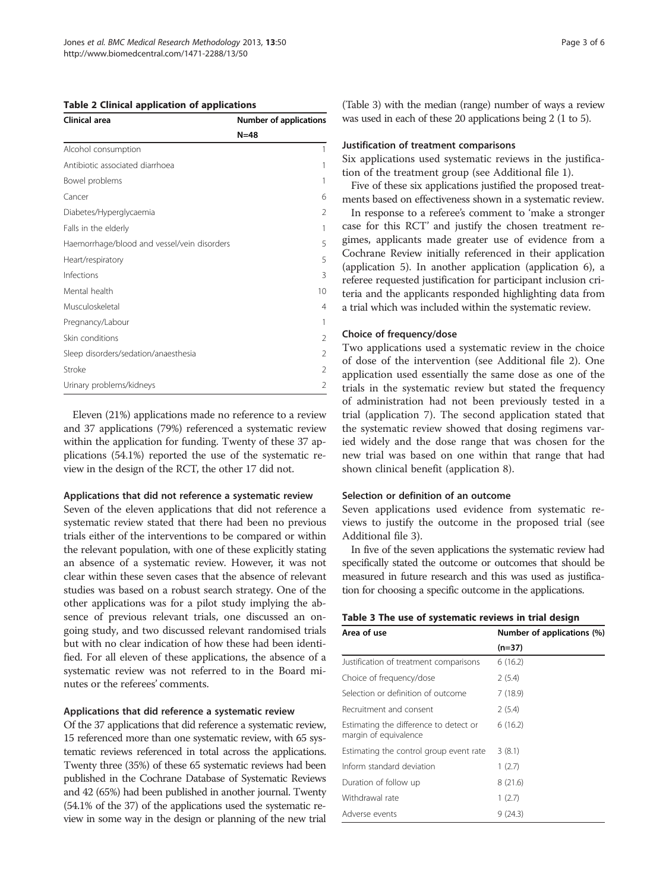<span id="page-2-0"></span>

|  |  |  |  | <b>Table 2 Clinical application of applications</b> |
|--|--|--|--|-----------------------------------------------------|
|--|--|--|--|-----------------------------------------------------|

| Clinical area                               | <b>Number of applications</b> |  |
|---------------------------------------------|-------------------------------|--|
|                                             | $N=48$                        |  |
| Alcohol consumption                         | 1                             |  |
| Antibiotic associated diarrhoea             | 1                             |  |
| Bowel problems                              | 1                             |  |
| Cancer                                      | 6                             |  |
| Diabetes/Hyperglycaemia                     | 2                             |  |
| Falls in the elderly                        | 1                             |  |
| Haemorrhage/blood and vessel/vein disorders | 5                             |  |
| Heart/respiratory                           | 5                             |  |
| Infections                                  | 3                             |  |
| Mental health                               | 10                            |  |
| Musculoskeletal                             | 4                             |  |
| Pregnancy/Labour                            | 1                             |  |
| Skin conditions                             | 2                             |  |
| Sleep disorders/sedation/anaesthesia        | $\mathfrak{D}$                |  |
| Stroke                                      | $\mathfrak{D}$                |  |
| Urinary problems/kidneys                    | 2                             |  |

Eleven (21%) applications made no reference to a review and 37 applications (79%) referenced a systematic review within the application for funding. Twenty of these 37 applications (54.1%) reported the use of the systematic review in the design of the RCT, the other 17 did not.

#### Applications that did not reference a systematic review

Seven of the eleven applications that did not reference a systematic review stated that there had been no previous trials either of the interventions to be compared or within the relevant population, with one of these explicitly stating an absence of a systematic review. However, it was not clear within these seven cases that the absence of relevant studies was based on a robust search strategy. One of the other applications was for a pilot study implying the absence of previous relevant trials, one discussed an ongoing study, and two discussed relevant randomised trials but with no clear indication of how these had been identified. For all eleven of these applications, the absence of a systematic review was not referred to in the Board minutes or the referees' comments.

# Applications that did reference a systematic review

Of the 37 applications that did reference a systematic review, 15 referenced more than one systematic review, with 65 systematic reviews referenced in total across the applications. Twenty three (35%) of these 65 systematic reviews had been published in the Cochrane Database of Systematic Reviews and 42 (65%) had been published in another journal. Twenty (54.1% of the 37) of the applications used the systematic review in some way in the design or planning of the new trial

(Table 3) with the median (range) number of ways a review was used in each of these 20 applications being 2 (1 to 5).

#### Justification of treatment comparisons

Six applications used systematic reviews in the justification of the treatment group (see Additional file [1\)](#page-4-0).

Five of these six applications justified the proposed treatments based on effectiveness shown in a systematic review.

In response to a referee's comment to 'make a stronger case for this RCT' and justify the chosen treatment regimes, applicants made greater use of evidence from a Cochrane Review initially referenced in their application (application 5). In another application (application 6), a referee requested justification for participant inclusion criteria and the applicants responded highlighting data from a trial which was included within the systematic review.

#### Choice of frequency/dose

Two applications used a systematic review in the choice of dose of the intervention (see Additional file [2\)](#page-4-0). One application used essentially the same dose as one of the trials in the systematic review but stated the frequency of administration had not been previously tested in a trial (application 7). The second application stated that the systematic review showed that dosing regimens varied widely and the dose range that was chosen for the new trial was based on one within that range that had shown clinical benefit (application 8).

#### Selection or definition of an outcome

Seven applications used evidence from systematic reviews to justify the outcome in the proposed trial (see Additional file [3](#page-4-0)).

In five of the seven applications the systematic review had specifically stated the outcome or outcomes that should be measured in future research and this was used as justification for choosing a specific outcome in the applications.

| Table 3 The use of systematic reviews in trial design |  |  |  |
|-------------------------------------------------------|--|--|--|
|-------------------------------------------------------|--|--|--|

| Area of use                                                     | Number of applications (%) |
|-----------------------------------------------------------------|----------------------------|
|                                                                 | $(n=37)$                   |
| Justification of treatment comparisons                          | 6(16.2)                    |
| Choice of frequency/dose                                        | 2(5.4)                     |
| Selection or definition of outcome                              | 7(18.9)                    |
| Recruitment and consent                                         | 2(5.4)                     |
| Estimating the difference to detect or<br>margin of equivalence | 6(16.2)                    |
| Estimating the control group event rate                         | 3(8.1)                     |
| Inform standard deviation                                       | 1(2.7)                     |
| Duration of follow up                                           | 8(21.6)                    |
| Withdrawal rate                                                 | 1(2.7)                     |
| Adverse events                                                  | 9(24.3)                    |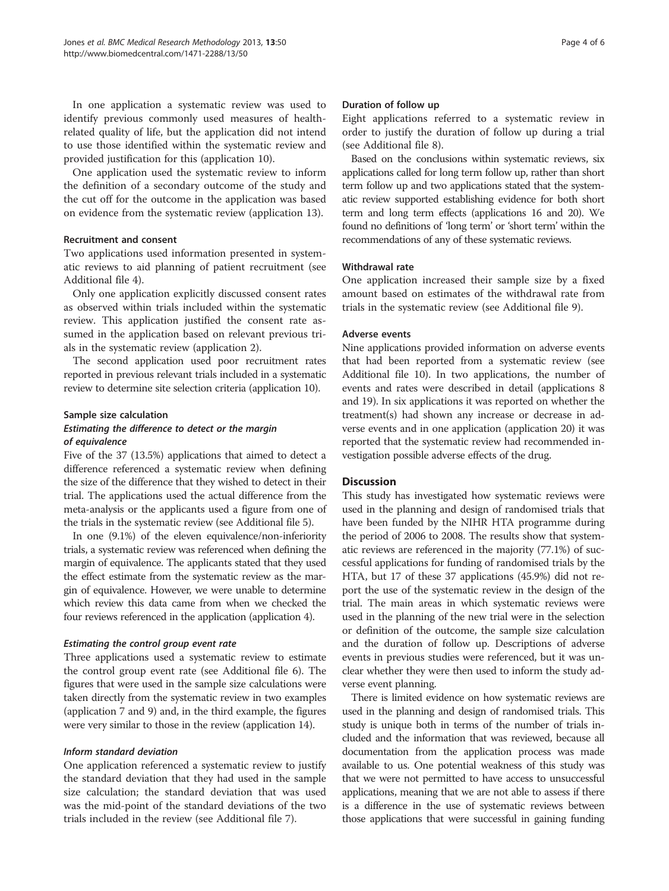In one application a systematic review was used to identify previous commonly used measures of healthrelated quality of life, but the application did not intend to use those identified within the systematic review and provided justification for this (application 10).

One application used the systematic review to inform the definition of a secondary outcome of the study and the cut off for the outcome in the application was based on evidence from the systematic review (application 13).

### Recruitment and consent

Two applications used information presented in systematic reviews to aid planning of patient recruitment (see Additional file [4\)](#page-4-0).

Only one application explicitly discussed consent rates as observed within trials included within the systematic review. This application justified the consent rate assumed in the application based on relevant previous trials in the systematic review (application 2).

The second application used poor recruitment rates reported in previous relevant trials included in a systematic review to determine site selection criteria (application 10).

# Sample size calculation Estimating the difference to detect or the margin of equivalence

Five of the 37 (13.5%) applications that aimed to detect a difference referenced a systematic review when defining the size of the difference that they wished to detect in their trial. The applications used the actual difference from the meta-analysis or the applicants used a figure from one of the trials in the systematic review (see Additional file [5](#page-4-0)).

In one (9.1%) of the eleven equivalence/non-inferiority trials, a systematic review was referenced when defining the margin of equivalence. The applicants stated that they used the effect estimate from the systematic review as the margin of equivalence. However, we were unable to determine which review this data came from when we checked the four reviews referenced in the application (application 4).

# Estimating the control group event rate

Three applications used a systematic review to estimate the control group event rate (see Additional file [6](#page-4-0)). The figures that were used in the sample size calculations were taken directly from the systematic review in two examples (application 7 and 9) and, in the third example, the figures were very similar to those in the review (application 14).

# Inform standard deviation

One application referenced a systematic review to justify the standard deviation that they had used in the sample size calculation; the standard deviation that was used was the mid-point of the standard deviations of the two trials included in the review (see Additional file [7\)](#page-4-0).

# Duration of follow up

Eight applications referred to a systematic review in order to justify the duration of follow up during a trial (see Additional file [8\)](#page-4-0).

Based on the conclusions within systematic reviews, six applications called for long term follow up, rather than short term follow up and two applications stated that the systematic review supported establishing evidence for both short term and long term effects (applications 16 and 20). We found no definitions of 'long term' or 'short term' within the recommendations of any of these systematic reviews.

# Withdrawal rate

One application increased their sample size by a fixed amount based on estimates of the withdrawal rate from trials in the systematic review (see Additional file [9](#page-4-0)).

# Adverse events

Nine applications provided information on adverse events that had been reported from a systematic review (see Additional file [10](#page-4-0)). In two applications, the number of events and rates were described in detail (applications 8 and 19). In six applications it was reported on whether the treatment(s) had shown any increase or decrease in adverse events and in one application (application 20) it was reported that the systematic review had recommended investigation possible adverse effects of the drug.

# **Discussion**

This study has investigated how systematic reviews were used in the planning and design of randomised trials that have been funded by the NIHR HTA programme during the period of 2006 to 2008. The results show that systematic reviews are referenced in the majority (77.1%) of successful applications for funding of randomised trials by the HTA, but 17 of these 37 applications (45.9%) did not report the use of the systematic review in the design of the trial. The main areas in which systematic reviews were used in the planning of the new trial were in the selection or definition of the outcome, the sample size calculation and the duration of follow up. Descriptions of adverse events in previous studies were referenced, but it was unclear whether they were then used to inform the study adverse event planning.

There is limited evidence on how systematic reviews are used in the planning and design of randomised trials. This study is unique both in terms of the number of trials included and the information that was reviewed, because all documentation from the application process was made available to us. One potential weakness of this study was that we were not permitted to have access to unsuccessful applications, meaning that we are not able to assess if there is a difference in the use of systematic reviews between those applications that were successful in gaining funding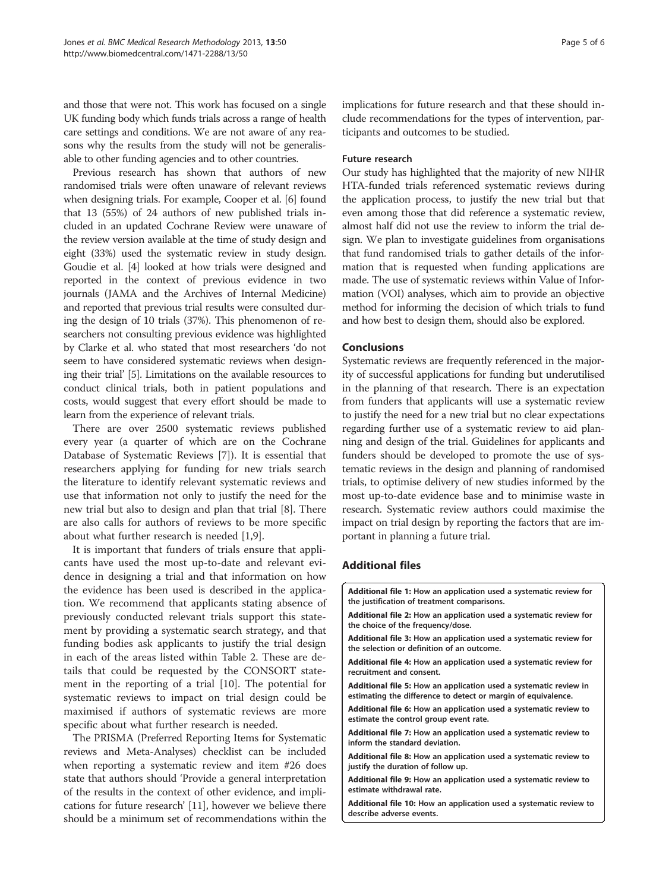<span id="page-4-0"></span>and those that were not. This work has focused on a single UK funding body which funds trials across a range of health care settings and conditions. We are not aware of any reasons why the results from the study will not be generalisable to other funding agencies and to other countries.

Previous research has shown that authors of new randomised trials were often unaware of relevant reviews when designing trials. For example, Cooper et al. [[6](#page-5-0)] found that 13 (55%) of 24 authors of new published trials included in an updated Cochrane Review were unaware of the review version available at the time of study design and eight (33%) used the systematic review in study design. Goudie et al. [[4](#page-5-0)] looked at how trials were designed and reported in the context of previous evidence in two journals (JAMA and the Archives of Internal Medicine) and reported that previous trial results were consulted during the design of 10 trials (37%). This phenomenon of researchers not consulting previous evidence was highlighted by Clarke et al. who stated that most researchers 'do not seem to have considered systematic reviews when designing their trial' [[5](#page-5-0)]. Limitations on the available resources to conduct clinical trials, both in patient populations and costs, would suggest that every effort should be made to learn from the experience of relevant trials.

There are over 2500 systematic reviews published every year (a quarter of which are on the Cochrane Database of Systematic Reviews [\[7](#page-5-0)]). It is essential that researchers applying for funding for new trials search the literature to identify relevant systematic reviews and use that information not only to justify the need for the new trial but also to design and plan that trial [[8\]](#page-5-0). There are also calls for authors of reviews to be more specific about what further research is needed [\[1,9](#page-5-0)].

It is important that funders of trials ensure that applicants have used the most up-to-date and relevant evidence in designing a trial and that information on how the evidence has been used is described in the application. We recommend that applicants stating absence of previously conducted relevant trials support this statement by providing a systematic search strategy, and that funding bodies ask applicants to justify the trial design in each of the areas listed within Table [2.](#page-2-0) These are details that could be requested by the CONSORT statement in the reporting of a trial [[10\]](#page-5-0). The potential for systematic reviews to impact on trial design could be maximised if authors of systematic reviews are more specific about what further research is needed.

The PRISMA (Preferred Reporting Items for Systematic reviews and Meta-Analyses) checklist can be included when reporting a systematic review and item #26 does state that authors should 'Provide a general interpretation of the results in the context of other evidence, and implications for future research' [[11](#page-5-0)], however we believe there should be a minimum set of recommendations within the

implications for future research and that these should include recommendations for the types of intervention, participants and outcomes to be studied.

### Future research

Our study has highlighted that the majority of new NIHR HTA-funded trials referenced systematic reviews during the application process, to justify the new trial but that even among those that did reference a systematic review, almost half did not use the review to inform the trial design. We plan to investigate guidelines from organisations that fund randomised trials to gather details of the information that is requested when funding applications are made. The use of systematic reviews within Value of Information (VOI) analyses, which aim to provide an objective method for informing the decision of which trials to fund and how best to design them, should also be explored.

# Conclusions

Systematic reviews are frequently referenced in the majority of successful applications for funding but underutilised in the planning of that research. There is an expectation from funders that applicants will use a systematic review to justify the need for a new trial but no clear expectations regarding further use of a systematic review to aid planning and design of the trial. Guidelines for applicants and funders should be developed to promote the use of systematic reviews in the design and planning of randomised trials, to optimise delivery of new studies informed by the most up-to-date evidence base and to minimise waste in research. Systematic review authors could maximise the impact on trial design by reporting the factors that are important in planning a future trial.

# Additional files

[Additional file 1:](http://www.biomedcentral.com/content/supplementary/1471-2288-13-50-S1.docx) How an application used a systematic review for the justification of treatment comparisons.

[Additional file 2:](http://www.biomedcentral.com/content/supplementary/1471-2288-13-50-S2.docx) How an application used a systematic review for the choice of the frequency/dose.

[Additional file 3:](http://www.biomedcentral.com/content/supplementary/1471-2288-13-50-S3.docx) How an application used a systematic review for the selection or definition of an outcome.

[Additional file 4:](http://www.biomedcentral.com/content/supplementary/1471-2288-13-50-S4.docx) How an application used a systematic review for recruitment and consent.

[Additional file 5:](http://www.biomedcentral.com/content/supplementary/1471-2288-13-50-S5.docx) How an application used a systematic review in estimating the difference to detect or margin of equivalence.

[Additional file 6:](http://www.biomedcentral.com/content/supplementary/1471-2288-13-50-S6.docx) How an application used a systematic review to estimate the control group event rate.

[Additional file 7:](http://www.biomedcentral.com/content/supplementary/1471-2288-13-50-S7.docx) How an application used a systematic review to inform the standard deviation.

[Additional file 8:](http://www.biomedcentral.com/content/supplementary/1471-2288-13-50-S8.docx) How an application used a systematic review to justify the duration of follow up.

[Additional file 9:](http://www.biomedcentral.com/content/supplementary/1471-2288-13-50-S9.docx) How an application used a systematic review to estimate withdrawal rate.

[Additional file 10:](http://www.biomedcentral.com/content/supplementary/1471-2288-13-50-S10.docx) How an application used a systematic review to describe adverse events.